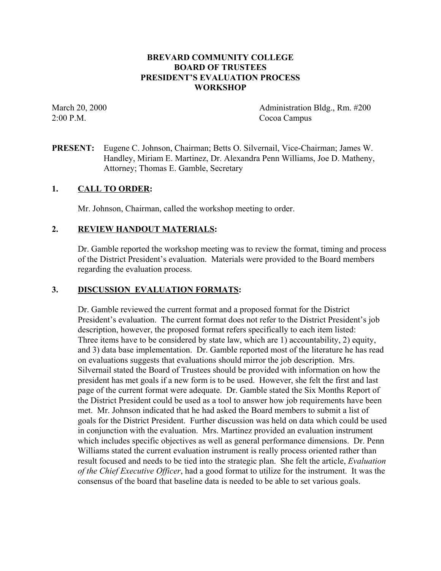### **BREVARD COMMUNITY COLLEGE BOARD OF TRUSTEES PRESIDENT'S EVALUATION PROCESS WORKSHOP**

March 20, 2000 **Administration Bldg., Rm. #200** 2:00 P.M. Cocoa Campus

**PRESENT:** Eugene C. Johnson, Chairman; Betts O. Silvernail, Vice-Chairman; James W. Handley, Miriam E. Martinez, Dr. Alexandra Penn Williams, Joe D. Matheny, Attorney; Thomas E. Gamble, Secretary

### **1. CALL TO ORDER:**

Mr. Johnson, Chairman, called the workshop meeting to order.

### **2. REVIEW HANDOUT MATERIALS:**

Dr. Gamble reported the workshop meeting was to review the format, timing and process of the District President's evaluation. Materials were provided to the Board members regarding the evaluation process.

### **3. DISCUSSION EVALUATION FORMATS:**

Dr. Gamble reviewed the current format and a proposed format for the District President's evaluation. The current format does not refer to the District President's job description, however, the proposed format refers specifically to each item listed: Three items have to be considered by state law, which are 1) accountability, 2) equity, and 3) data base implementation. Dr. Gamble reported most of the literature he has read on evaluations suggests that evaluations should mirror the job description. Mrs. Silvernail stated the Board of Trustees should be provided with information on how the president has met goals if a new form is to be used. However, she felt the first and last page of the current format were adequate. Dr. Gamble stated the Six Months Report of the District President could be used as a tool to answer how job requirements have been met. Mr. Johnson indicated that he had asked the Board members to submit a list of goals for the District President. Further discussion was held on data which could be used in conjunction with the evaluation. Mrs. Martinez provided an evaluation instrument which includes specific objectives as well as general performance dimensions. Dr. Penn Williams stated the current evaluation instrument is really process oriented rather than result focused and needs to be tied into the strategic plan. She felt the article, *Evaluation of the Chief Executive Officer*, had a good format to utilize for the instrument. It was the consensus of the board that baseline data is needed to be able to set various goals.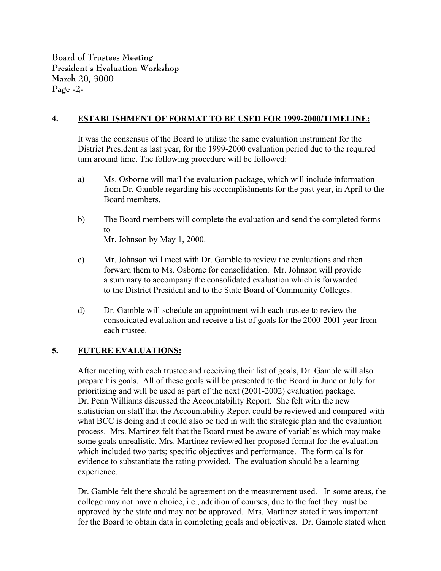**Board of Trustees Meeting President's Evaluation Workshop March 20, 3000 Page -2-**

### **4. ESTABLISHMENT OF FORMAT TO BE USED FOR 1999-2000/TIMELINE:**

It was the consensus of the Board to utilize the same evaluation instrument for the District President as last year, for the 1999-2000 evaluation period due to the required turn around time. The following procedure will be followed:

- a) Ms. Osborne will mail the evaluation package, which will include information from Dr. Gamble regarding his accomplishments for the past year, in April to the Board members.
- b) The Board members will complete the evaluation and send the completed forms to Mr. Johnson by May 1, 2000.
- c) Mr. Johnson will meet with Dr. Gamble to review the evaluations and then forward them to Ms. Osborne for consolidation. Mr. Johnson will provide a summary to accompany the consolidated evaluation which is forwarded to the District President and to the State Board of Community Colleges.
- d) Dr. Gamble will schedule an appointment with each trustee to review the consolidated evaluation and receive a list of goals for the 2000-2001 year from each trustee.

## **5. FUTURE EVALUATIONS:**

After meeting with each trustee and receiving their list of goals, Dr. Gamble will also prepare his goals. All of these goals will be presented to the Board in June or July for prioritizing and will be used as part of the next (2001-2002) evaluation package. Dr. Penn Williams discussed the Accountability Report. She felt with the new statistician on staff that the Accountability Report could be reviewed and compared with what BCC is doing and it could also be tied in with the strategic plan and the evaluation process. Mrs. Martinez felt that the Board must be aware of variables which may make some goals unrealistic. Mrs. Martinez reviewed her proposed format for the evaluation which included two parts; specific objectives and performance. The form calls for evidence to substantiate the rating provided. The evaluation should be a learning experience.

Dr. Gamble felt there should be agreement on the measurement used. In some areas, the college may not have a choice, i.e., addition of courses, due to the fact they must be approved by the state and may not be approved. Mrs. Martinez stated it was important for the Board to obtain data in completing goals and objectives. Dr. Gamble stated when